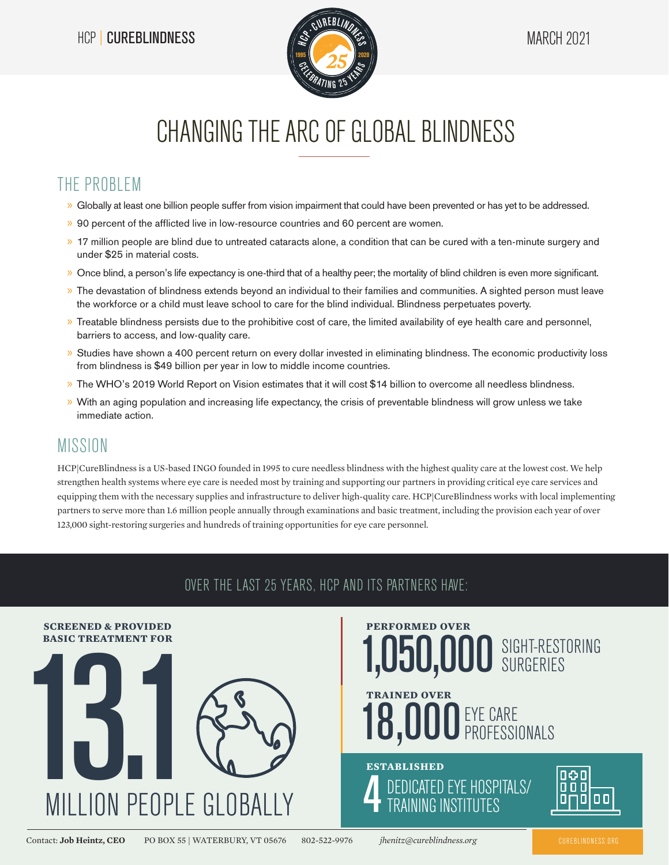

# CHANGING THE ARC OF GLOBAL BLINDNESS

#### THE PROBLEM

- » Globally at least one billion people suffer from vision impairment that could have been prevented or has yet to be addressed.
- » 90 percent of the afflicted live in low-resource countries and 60 percent are women.
- » 17 million people are blind due to untreated cataracts alone, a condition that can be cured with a ten-minute surgery and under \$25 in material costs.
- » Once blind, a person's life expectancy is one-third that of a healthy peer; the mortality of blind children is even more significant.
- » The devastation of blindness extends beyond an individual to their families and communities. A sighted person must leave the workforce or a child must leave school to care for the blind individual. Blindness perpetuates poverty.
- » Treatable blindness persists due to the prohibitive cost of care, the limited availability of eye health care and personnel, barriers to access, and low-quality care.
- » Studies have shown a 400 percent return on every dollar invested in eliminating blindness. The economic productivity loss from blindness is \$49 billion per year in low to middle income countries.
- » The WHO's 2019 World Report on Vision estimates that it will cost \$14 billion to overcome all needless blindness.
- » With an aging population and increasing life expectancy, the crisis of preventable blindness will grow unless we take immediate action.

#### MISSION

HCP|CureBlindness is a US-based INGO founded in 1995 to cure needless blindness with the highest quality care at the lowest cost. We help strengthen health systems where eye care is needed most by training and supporting our partners in providing critical eye care services and equipping them with the necessary supplies and infrastructure to deliver high-quality care. HCP|CureBlindness works with local implementing partners to serve more than 1.6 million people annually through examinations and basic treatment, including the provision each year of over 123,000 sight-restoring surgeries and hundreds of training opportunities for eye care personnel.

#### OVER THE LAST 25 YEARS, HCP AND ITS PARTNERS HAVE:



Contact: **Job Heintz, CEO** PO BOX 55 | WATERBURY, VT 05676 802-522-9976 *jhenitz@cureblindness.org* CUREBLINDNESS.ORG